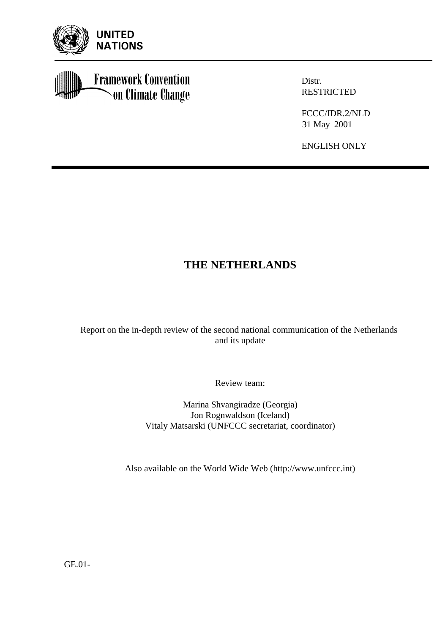

**Framework Convention** on Climate Change

Distr. RESTRICTED

FCCC/IDR.2/NLD 31 May 2001

ENGLISH ONLY

# **THE NETHERLANDS**

Report on the in-depth review of the second national communication of the Netherlands and its update

Review team:

Marina Shvangiradze (Georgia) Jon Rognwaldson (Iceland) Vitaly Matsarski (UNFCCC secretariat, coordinator)

Also available on the World Wide Web (http://www.unfccc.int)

GE.01-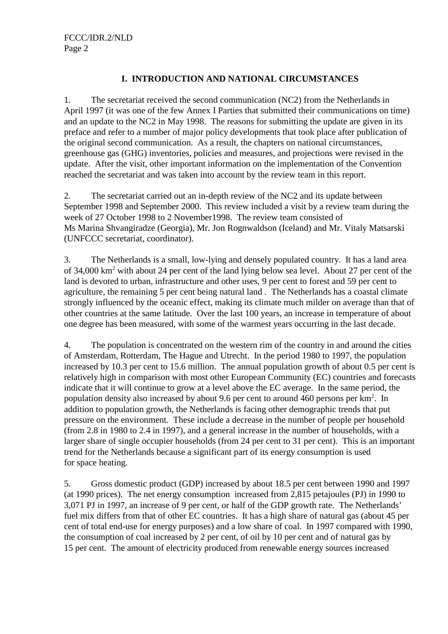#### **I. INTRODUCTION AND NATIONAL CIRCUMSTANCES**

1. The secretariat received the second communication (NC2) from the Netherlands in April 1997 (it was one of the few Annex I Parties that submitted their communications on time) and an update to the NC2 in May 1998. The reasons for submitting the update are given in its preface and refer to a number of major policy developments that took place after publication of the original second communication. As a result, the chapters on national circumstances, greenhouse gas (GHG) inventories, policies and measures, and projections were revised in the update. After the visit, other important information on the implementation of the Convention reached the secretariat and was taken into account by the review team in this report.

2. The secretariat carried out an in-depth review of the NC2 and its update between September 1998 and September 2000. This review included a visit by a review team during the week of 27 October 1998 to 2 November1998. The review team consisted of Ms Marina Shvangiradze (Georgia), Mr. Jon Rognwaldson (Iceland) and Mr. Vitaly Matsarski (UNFCCC secretariat, coordinator).

3. The Netherlands is a small, low-lying and densely populated country. It has a land area of 34,000 km<sup>2</sup> with about 24 per cent of the land lying below sea level. About 27 per cent of the land is devoted to urban, infrastructure and other uses, 9 per cent to forest and 59 per cent to agriculture, the remaining 5 per cent being natural land . The Netherlands has a coastal climate strongly influenced by the oceanic effect, making its climate much milder on average than that of other countries at the same latitude. Over the last 100 years, an increase in temperature of about one degree has been measured, with some of the warmest years occurring in the last decade.

4. The population is concentrated on the western rim of the country in and around the cities of Amsterdam, Rotterdam, The Hague and Utrecht. In the period 1980 to 1997, the population increased by 10.3 per cent to 15.6 million. The annual population growth of about 0.5 per cent is relatively high in comparison with most other European Community (EC) countries and forecasts indicate that it will continue to grow at a level above the EC average. In the same period, the population density also increased by about 9.6 per cent to around 460 persons per km<sup>2</sup>. In addition to population growth, the Netherlands is facing other demographic trends that put pressure on the environment. These include a decrease in the number of people per household (from 2.8 in 1980 to 2.4 in 1997), and a general increase in the number of households, with a larger share of single occupier households (from 24 per cent to 31 per cent). This is an important trend for the Netherlands because a significant part of its energy consumption is used for space heating.

5. Gross domestic product (GDP) increased by about 18.5 per cent between 1990 and 1997 (at 1990 prices). The net energy consumption increased from 2,815 petajoules (PJ) in 1990 to 3,071 PJ in 1997, an increase of 9 per cent, or half of the GDP growth rate. The Netherlands' fuel mix differs from that of other EC countries. It has a high share of natural gas (about 45 per cent of total end-use for energy purposes) and a low share of coal. In 1997 compared with 1990, the consumption of coal increased by 2 per cent, of oil by 10 per cent and of natural gas by 15 per cent. The amount of electricity produced from renewable energy sources increased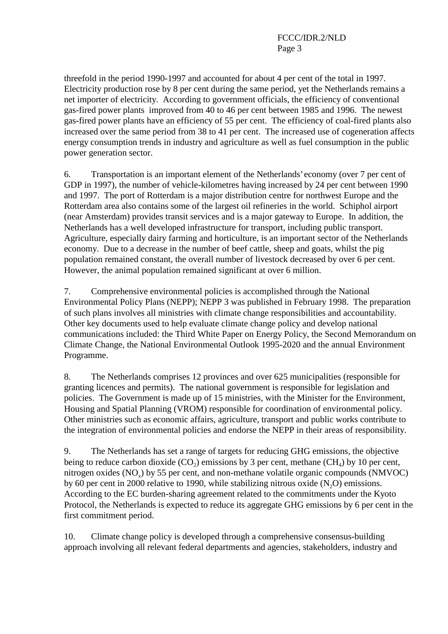threefold in the period 1990-1997 and accounted for about 4 per cent of the total in 1997. Electricity production rose by 8 per cent during the same period, yet the Netherlands remains a net importer of electricity. According to government officials, the efficiency of conventional gas-fired power plants improved from 40 to 46 per cent between 1985 and 1996. The newest gas-fired power plants have an efficiency of 55 per cent. The efficiency of coal-fired plants also increased over the same period from 38 to 41 per cent. The increased use of cogeneration affects energy consumption trends in industry and agriculture as well as fuel consumption in the public power generation sector.

6. Transportation is an important element of the Netherlands' economy (over 7 per cent of GDP in 1997), the number of vehicle-kilometres having increased by 24 per cent between 1990 and 1997. The port of Rotterdam is a major distribution centre for northwest Europe and the Rotterdam area also contains some of the largest oil refineries in the world. Schiphol airport (near Amsterdam) provides transit services and is a major gateway to Europe. In addition, the Netherlands has a well developed infrastructure for transport, including public transport. Agriculture, especially dairy farming and horticulture, is an important sector of the Netherlands economy. Due to a decrease in the number of beef cattle, sheep and goats, whilst the pig population remained constant, the overall number of livestock decreased by over 6 per cent. However, the animal population remained significant at over 6 million.

7. Comprehensive environmental policies is accomplished through the National Environmental Policy Plans (NEPP); NEPP 3 was published in February 1998. The preparation of such plans involves all ministries with climate change responsibilities and accountability. Other key documents used to help evaluate climate change policy and develop national communications included: the Third White Paper on Energy Policy, the Second Memorandum on Climate Change, the National Environmental Outlook 1995-2020 and the annual Environment Programme.

8. The Netherlands comprises 12 provinces and over 625 municipalities (responsible for granting licences and permits). The national government is responsible for legislation and policies. The Government is made up of 15 ministries, with the Minister for the Environment, Housing and Spatial Planning (VROM) responsible for coordination of environmental policy. Other ministries such as economic affairs, agriculture, transport and public works contribute to the integration of environmental policies and endorse the NEPP in their areas of responsibility.

9. The Netherlands has set a range of targets for reducing GHG emissions, the objective being to reduce carbon dioxide  $(CO_2)$  emissions by 3 per cent, methane  $(CH_4)$  by 10 per cent, nitrogen oxides  $(NO_x)$  by 55 per cent, and non-methane volatile organic compounds  $(NMVOC)$ by 60 per cent in 2000 relative to 1990, while stabilizing nitrous oxide  $(N_2O)$  emissions. According to the EC burden-sharing agreement related to the commitments under the Kyoto Protocol, the Netherlands is expected to reduce its aggregate GHG emissions by 6 per cent in the first commitment period.

10. Climate change policy is developed through a comprehensive consensus-building approach involving all relevant federal departments and agencies, stakeholders, industry and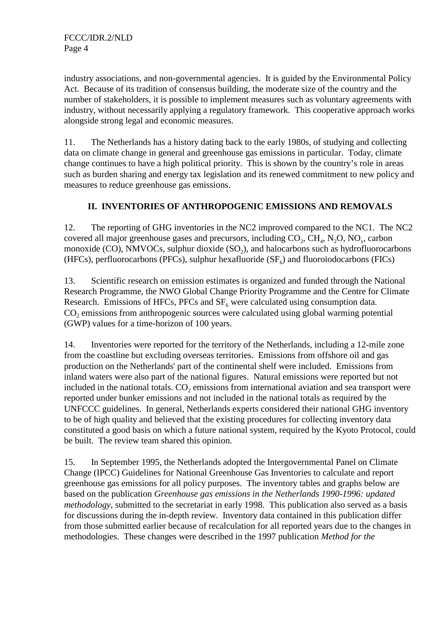industry associations, and non-governmental agencies. It is guided by the Environmental Policy Act. Because of its tradition of consensus building, the moderate size of the country and the number of stakeholders, it is possible to implement measures such as voluntary agreements with industry, without necessarily applying a regulatory framework. This cooperative approach works alongside strong legal and economic measures.

11. The Netherlands has a history dating back to the early 1980s, of studying and collecting data on climate change in general and greenhouse gas emissions in particular. Today, climate change continues to have a high political priority. This is shown by the country's role in areas such as burden sharing and energy tax legislation and its renewed commitment to new policy and measures to reduce greenhouse gas emissions.

### **II. INVENTORIES OF ANTHROPOGENIC EMISSIONS AND REMOVALS**

12. The reporting of GHG inventories in the NC2 improved compared to the NC1. The NC2 covered all major greenhouse gases and precursors, including  $CO<sub>2</sub>$ ,  $CH<sub>4</sub>$ , N<sub>2</sub>O, NO<sub>x</sub>, carbon monoxide (CO), NMVOCs, sulphur dioxide  $(SO<sub>2</sub>)$ , and halocarbons such as hydrofluorocarbons (HFCs), perfluorocarbons (PFCs), sulphur hexafluoride  $(SF<sub>6</sub>)$  and fluoroiodocarbons (FICs)

13. Scientific research on emission estimates is organized and funded through the National Research Programme, the NWO Global Change Priority Programme and the Centre for Climate Research. Emissions of HFCs, PFCs and  $SF<sub>6</sub>$  were calculated using consumption data.  $CO<sub>2</sub>$  emissions from anthropogenic sources were calculated using global warming potential (GWP) values for a time-horizon of 100 years.

14. Inventories were reported for the territory of the Netherlands, including a 12-mile zone from the coastline but excluding overseas territories. Emissions from offshore oil and gas production on the Netherlands' part of the continental shelf were included. Emissions from inland waters were also part of the national figures. Natural emissions were reported but not included in the national totals.  $CO<sub>2</sub>$  emissions from international aviation and sea transport were reported under bunker emissions and not included in the national totals as required by the UNFCCC guidelines. In general, Netherlands experts considered their national GHG inventory to be of high quality and believed that the existing procedures for collecting inventory data constituted a good basis on which a future national system, required by the Kyoto Protocol, could be built. The review team shared this opinion.

15. In September 1995, the Netherlands adopted the Intergovernmental Panel on Climate Change (IPCC) Guidelines for National Greenhouse Gas Inventories to calculate and report greenhouse gas emissions for all policy purposes. The inventory tables and graphs below are based on the publication *Greenhouse gas emissions in the Netherlands 1990-1996: updated methodology*, submitted to the secretariat in early 1998. This publication also served as a basis for discussions during the in-depth review. Inventory data contained in this publication differ from those submitted earlier because of recalculation for all reported years due to the changes in methodologies. These changes were described in the 1997 publication *Method for the*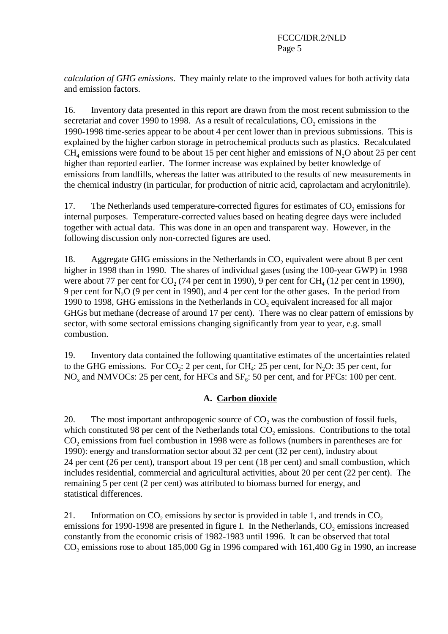*calculation of GHG emissions*. They mainly relate to the improved values for both activity data and emission factors.

16. Inventory data presented in this report are drawn from the most recent submission to the secretariat and cover 1990 to 1998. As a result of recalculations,  $CO<sub>2</sub>$  emissions in the 1990-1998 time-series appear to be about 4 per cent lower than in previous submissions. This is explained by the higher carbon storage in petrochemical products such as plastics. Recalculated  $CH<sub>4</sub>$  emissions were found to be about 15 per cent higher and emissions of N<sub>2</sub>O about 25 per cent higher than reported earlier. The former increase was explained by better knowledge of emissions from landfills, whereas the latter was attributed to the results of new measurements in the chemical industry (in particular, for production of nitric acid, caprolactam and acrylonitrile).

17. The Netherlands used temperature-corrected figures for estimates of CO<sub>2</sub> emissions for internal purposes. Temperature-corrected values based on heating degree days were included together with actual data. This was done in an open and transparent way. However, in the following discussion only non-corrected figures are used.

18. Aggregate GHG emissions in the Netherlands in CO<sub>2</sub> equivalent were about 8 per cent higher in 1998 than in 1990. The shares of individual gases (using the 100-year GWP) in 1998 were about 77 per cent for  $CO_2$  (74 per cent in 1990), 9 per cent for  $CH_4$  (12 per cent in 1990), 9 per cent for  $N_2O$  (9 per cent in 1990), and 4 per cent for the other gases. In the period from 1990 to 1998, GHG emissions in the Netherlands in  $CO<sub>2</sub>$  equivalent increased for all major GHGs but methane (decrease of around 17 per cent). There was no clear pattern of emissions by sector, with some sectoral emissions changing significantly from year to year, e.g. small combustion.

19. Inventory data contained the following quantitative estimates of the uncertainties related to the GHG emissions. For  $CO_2$ : 2 per cent, for CH<sub>4</sub>: 25 per cent, for N<sub>2</sub>O: 35 per cent, for  $NO<sub>x</sub>$  and NMVOCs: 25 per cent, for HFCs and  $SF<sub>6</sub>$ : 50 per cent, and for PFCs: 100 per cent.

#### **A. Carbon dioxide**

20. The most important anthropogenic source of  $CO<sub>2</sub>$  was the combustion of fossil fuels, which constituted 98 per cent of the Netherlands total  $CO<sub>2</sub>$  emissions. Contributions to the total CO<sub>2</sub> emissions from fuel combustion in 1998 were as follows (numbers in parentheses are for 1990): energy and transformation sector about 32 per cent (32 per cent), industry about 24 per cent (26 per cent), transport about 19 per cent (18 per cent) and small combustion, which includes residential, commercial and agricultural activities, about 20 per cent (22 per cent). The remaining 5 per cent (2 per cent) was attributed to biomass burned for energy, and statistical differences.

21. Information on  $CO_2$  emissions by sector is provided in table 1, and trends in  $CO_2$ emissions for 1990-1998 are presented in figure I. In the Netherlands,  $CO<sub>2</sub>$  emissions increased constantly from the economic crisis of 1982-1983 until 1996. It can be observed that total  $CO<sub>2</sub>$  emissions rose to about 185,000 Gg in 1996 compared with 161,400 Gg in 1990, an increase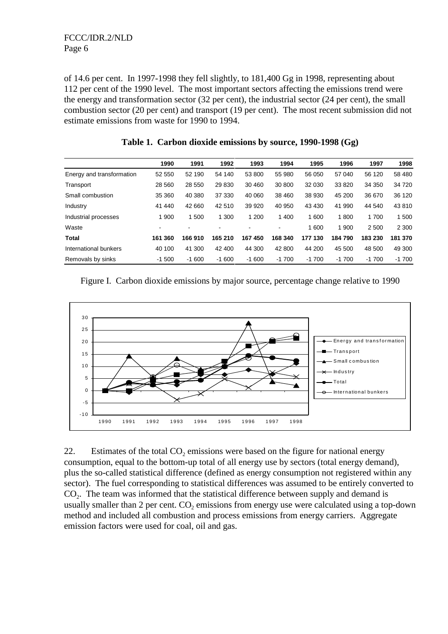FCCC/IDR.2/NLD Page 6

of 14.6 per cent. In 1997-1998 they fell slightly, to 181,400 Gg in 1998, representing about 112 per cent of the 1990 level. The most important sectors affecting the emissions trend were the energy and transformation sector (32 per cent), the industrial sector (24 per cent), the small combustion sector (20 per cent) and transport (19 per cent). The most recent submission did not estimate emissions from waste for 1990 to 1994.

|                           | 1990           | 1991                     | 1992    | 1993    | 1994    | 1995    | 1996    | 1997    | 1998    |
|---------------------------|----------------|--------------------------|---------|---------|---------|---------|---------|---------|---------|
| Energy and transformation | 52 550         | 52 190                   | 54 140  | 53 800  | 55 980  | 56 050  | 57 040  | 56 120  | 58 480  |
| Transport                 | 28 5 60        | 28 550                   | 29 830  | 30 460  | 30 800  | 32 030  | 33 820  | 34 350  | 34 720  |
| Small combustion          | 35 360         | 40 380                   | 37 330  | 40 060  | 38 460  | 38 930  | 45 200  | 36 670  | 36 120  |
| Industry                  | 41 440         | 42 660                   | 42 510  | 39 9 20 | 40 950  | 43 430  | 41 990  | 44 540  | 43 810  |
| Industrial processes      | 900            | 1500                     | 1 300   | 1 200   | 1 400   | 1600    | 1800    | 1 700   | 500     |
| Waste                     | $\blacksquare$ | $\overline{\phantom{a}}$ |         |         | ۰.      | 1 600   | 1 900   | 2 500   | 2 3 0 0 |
| Total                     | 161 360        | 166 910                  | 165 210 | 167 450 | 168 340 | 177 130 | 184790  | 183 230 | 181 370 |
| International bunkers     | 40 100         | 41 300                   | 42 400  | 44 300  | 42 800  | 44 200  | 45 500  | 48 500  | 49 300  |
| Removals by sinks         | $-1500$        | $-1600$                  | $-1600$ | $-1600$ | $-1700$ | $-1700$ | $-1700$ | $-1700$ | $-1700$ |

**Table 1. Carbon dioxide emissions by source, 1990-1998 (Gg)**

|  |  |  | Figure I. Carbon dioxide emissions by major source, percentage change relative to 1990 |  |  |
|--|--|--|----------------------------------------------------------------------------------------|--|--|
|  |  |  |                                                                                        |  |  |



22. Estimates of the total  $CO<sub>2</sub>$  emissions were based on the figure for national energy consumption, equal to the bottom-up total of all energy use by sectors (total energy demand), plus the so-called statistical difference (defined as energy consumption not registered within any sector). The fuel corresponding to statistical differences was assumed to be entirely converted to  $CO<sub>2</sub>$ . The team was informed that the statistical difference between supply and demand is usually smaller than 2 per cent.  $CO<sub>2</sub>$  emissions from energy use were calculated using a top-down method and included all combustion and process emissions from energy carriers. Aggregate emission factors were used for coal, oil and gas.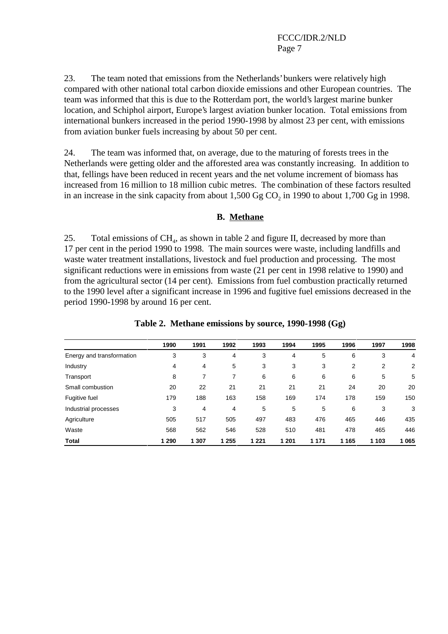23. The team noted that emissions from the Netherlands' bunkers were relatively high compared with other national total carbon dioxide emissions and other European countries. The team was informed that this is due to the Rotterdam port, the world's largest marine bunker location, and Schiphol airport, Europe's largest aviation bunker location. Total emissions from international bunkers increased in the period 1990-1998 by almost 23 per cent, with emissions from aviation bunker fuels increasing by about 50 per cent.

24. The team was informed that, on average, due to the maturing of forests trees in the Netherlands were getting older and the afforested area was constantly increasing. In addition to that, fellings have been reduced in recent years and the net volume increment of biomass has increased from 16 million to 18 million cubic metres. The combination of these factors resulted in an increase in the sink capacity from about  $1,500$  Gg CO<sub>2</sub> in 1990 to about 1,700 Gg in 1998.

#### **B. Methane**

25. Total emissions of  $CH<sub>4</sub>$ , as shown in table 2 and figure II, decreased by more than 17 per cent in the period 1990 to 1998. The main sources were waste, including landfills and waste water treatment installations, livestock and fuel production and processing. The most significant reductions were in emissions from waste (21 per cent in 1998 relative to 1990) and from the agricultural sector (14 per cent). Emissions from fuel combustion practically returned to the 1990 level after a significant increase in 1996 and fugitive fuel emissions decreased in the period 1990-1998 by around 16 per cent.

|                           | 1990    | 1991  | 1992    | 1993    | 1994  | 1995    | 1996    | 1997  | 1998 |
|---------------------------|---------|-------|---------|---------|-------|---------|---------|-------|------|
| Energy and transformation | 3       | 3     | 4       | 3       | 4     | 5       | 6       | 3     | 4    |
| Industry                  | 4       | 4     | 5       | 3       | 3     | 3       | 2       | 2     | 2    |
| Transport                 | 8       | 7     | 7       | 6       | 6     | 6       | 6       | 5     | 5    |
| Small combustion          | 20      | 22    | 21      | 21      | 21    | 21      | 24      | 20    | 20   |
| Fugitive fuel             | 179     | 188   | 163     | 158     | 169   | 174     | 178     | 159   | 150  |
| Industrial processes      | 3       | 4     | 4       | 5       | 5     | 5       | 6       | 3     | 3    |
| Agriculture               | 505     | 517   | 505     | 497     | 483   | 476     | 465     | 446   | 435  |
| Waste                     | 568     | 562   | 546     | 528     | 510   | 481     | 478     | 465   | 446  |
| Total                     | 1 2 9 0 | 1 307 | 1 2 5 5 | 1 2 2 1 | 1 201 | 1 1 7 1 | 1 1 6 5 | 1 103 | 065  |

**Table 2. Methane emissions by source, 1990-1998 (Gg)**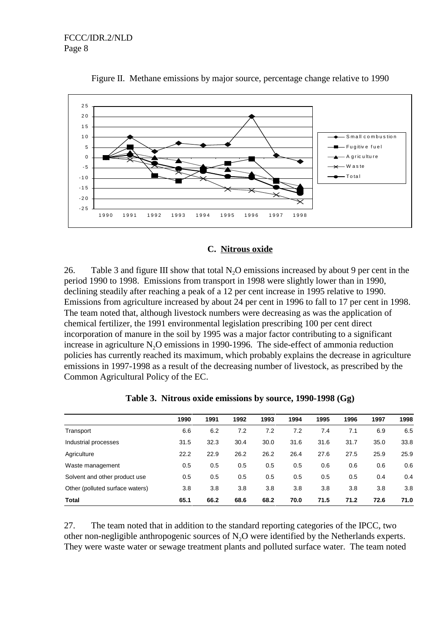

Figure II. Methane emissions by major source, percentage change relative to 1990

#### **C. Nitrous oxide**

26. Table 3 and figure III show that total  $N<sub>2</sub>O$  emissions increased by about 9 per cent in the period 1990 to 1998. Emissions from transport in 1998 were slightly lower than in 1990, declining steadily after reaching a peak of a 12 per cent increase in 1995 relative to 1990. Emissions from agriculture increased by about 24 per cent in 1996 to fall to 17 per cent in 1998. The team noted that, although livestock numbers were decreasing as was the application of chemical fertilizer, the 1991 environmental legislation prescribing 100 per cent direct incorporation of manure in the soil by 1995 was a major factor contributing to a significant increase in agriculture  $N<sub>2</sub>O$  emissions in 1990-1996. The side-effect of ammonia reduction policies has currently reached its maximum, which probably explains the decrease in agriculture emissions in 1997-1998 as a result of the decreasing number of livestock, as prescribed by the Common Agricultural Policy of the EC.

|                                 | 1990 | 1991 | 1992 | 1993 | 1994 | 1995 | 1996 | 1997 | 1998 |
|---------------------------------|------|------|------|------|------|------|------|------|------|
| Transport                       | 6.6  | 6.2  | 7.2  | 7.2  | 7.2  | 7.4  | 7.1  | 6.9  | 6.5  |
| Industrial processes            | 31.5 | 32.3 | 30.4 | 30.0 | 31.6 | 31.6 | 31.7 | 35.0 | 33.8 |
| Agriculture                     | 22.2 | 22.9 | 26.2 | 26.2 | 26.4 | 27.6 | 27.5 | 25.9 | 25.9 |
| Waste management                | 0.5  | 0.5  | 0.5  | 0.5  | 0.5  | 0.6  | 0.6  | 0.6  | 0.6  |
| Solvent and other product use   | 0.5  | 0.5  | 0.5  | 0.5  | 0.5  | 0.5  | 0.5  | 0.4  | 0.4  |
| Other (polluted surface waters) | 3.8  | 3.8  | 3.8  | 3.8  | 3.8  | 3.8  | 3.8  | 3.8  | 3.8  |
| Total                           | 65.1 | 66.2 | 68.6 | 68.2 | 70.0 | 71.5 | 71.2 | 72.6 | 71.0 |

**Table 3. Nitrous oxide emissions by source, 1990-1998 (Gg)**

27. The team noted that in addition to the standard reporting categories of the IPCC, two other non-negligible anthropogenic sources of N<sub>2</sub>O were identified by the Netherlands experts. They were waste water or sewage treatment plants and polluted surface water. The team noted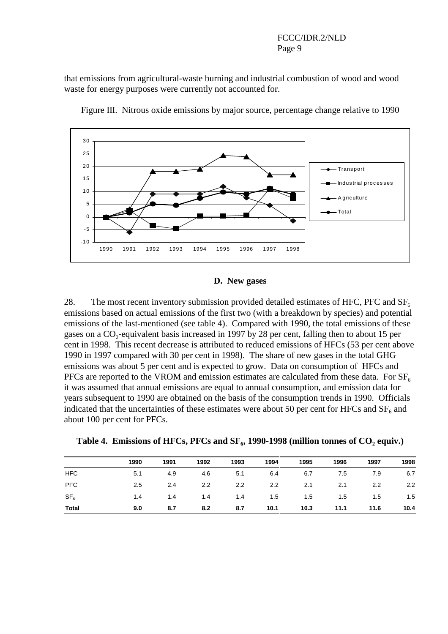#### FCCC/IDR.2/NLD Page 9

that emissions from agricultural-waste burning and industrial combustion of wood and wood waste for energy purposes were currently not accounted for.



Figure III. Nitrous oxide emissions by major source, percentage change relative to 1990

#### **D. New gases**

28. The most recent inventory submission provided detailed estimates of HFC, PFC and  $SF<sub>6</sub>$ emissions based on actual emissions of the first two (with a breakdown by species) and potential emissions of the last-mentioned (see table 4). Compared with 1990, the total emissions of these gases on a  $CO_2$ -equivalent basis increased in 1997 by 28 per cent, falling then to about 15 per cent in 1998. This recent decrease is attributed to reduced emissions of HFCs (53 per cent above 1990 in 1997 compared with 30 per cent in 1998). The share of new gases in the total GHG emissions was about 5 per cent and is expected to grow. Data on consumption of HFCs and PFCs are reported to the VROM and emission estimates are calculated from these data. For  $SF<sub>6</sub>$ it was assumed that annual emissions are equal to annual consumption, and emission data for years subsequent to 1990 are obtained on the basis of the consumption trends in 1990. Officials indicated that the uncertainties of these estimates were about 50 per cent for HFCs and  $SF<sub>6</sub>$  and about 100 per cent for PFCs.

|  |  |  |  |  | Table 4. Emissions of HFCs, PFCs and $SF_6$ , 1990-1998 (million tonnes of $CO_2$ equiv.) |  |  |
|--|--|--|--|--|-------------------------------------------------------------------------------------------|--|--|
|--|--|--|--|--|-------------------------------------------------------------------------------------------|--|--|

|                 | 1990 | 1991 | 1992 | 1993 | 1994          | 1995 | 1996 | 1997 | 1998 |
|-----------------|------|------|------|------|---------------|------|------|------|------|
| <b>HFC</b>      | 5.1  | 4.9  | 4.6  | 5.1  | 6.4           | 6.7  | 7.5  | 7.9  | 6.7  |
| <b>PFC</b>      | 2.5  | 2.4  | 2.2  | 2.2  | $2.2^{\circ}$ | 2.1  | 2.1  | 2.2  | 2.2  |
| SF <sub>6</sub> | 1.4  | 1.4  | 1.4  | 1.4  | 1.5           | 1.5  | 1.5  | 1.5  | 1.5  |
| Total           | 9.0  | 8.7  | 8.2  | 8.7  | 10.1          | 10.3 | 11.1 | 11.6 | 10.4 |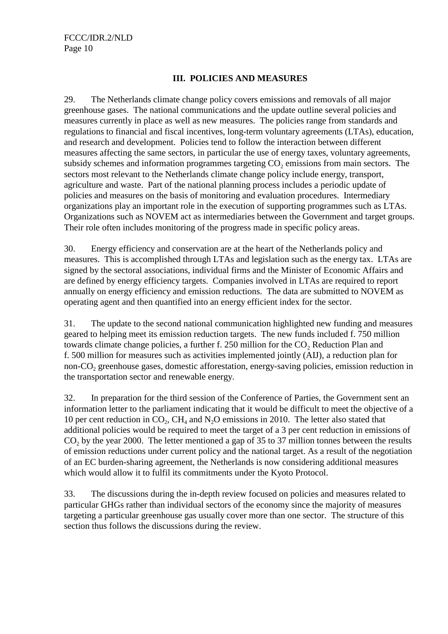#### **III. POLICIES AND MEASURES**

29. The Netherlands climate change policy covers emissions and removals of all major greenhouse gases. The national communications and the update outline several policies and measures currently in place as well as new measures. The policies range from standards and regulations to financial and fiscal incentives, long-term voluntary agreements (LTAs), education, and research and development. Policies tend to follow the interaction between different measures affecting the same sectors, in particular the use of energy taxes, voluntary agreements, subsidy schemes and information programmes targeting  $CO<sub>2</sub>$  emissions from main sectors. The sectors most relevant to the Netherlands climate change policy include energy, transport, agriculture and waste. Part of the national planning process includes a periodic update of policies and measures on the basis of monitoring and evaluation procedures. Intermediary organizations play an important role in the execution of supporting programmes such as LTAs. Organizations such as NOVEM act as intermediaries between the Government and target groups. Their role often includes monitoring of the progress made in specific policy areas.

30. Energy efficiency and conservation are at the heart of the Netherlands policy and measures. This is accomplished through LTAs and legislation such as the energy tax. LTAs are signed by the sectoral associations, individual firms and the Minister of Economic Affairs and are defined by energy efficiency targets. Companies involved in LTAs are required to report annually on energy efficiency and emission reductions. The data are submitted to NOVEM as operating agent and then quantified into an energy efficient index for the sector.

31. The update to the second national communication highlighted new funding and measures geared to helping meet its emission reduction targets. The new funds included f. 750 million towards climate change policies, a further  $f. 250$  million for the  $CO<sub>2</sub>$  Reduction Plan and f. 500 million for measures such as activities implemented jointly (AIJ), a reduction plan for non-CO<sub>2</sub> greenhouse gases, domestic afforestation, energy-saving policies, emission reduction in the transportation sector and renewable energy.

32. In preparation for the third session of the Conference of Parties, the Government sent an information letter to the parliament indicating that it would be difficult to meet the objective of a 10 per cent reduction in  $CO<sub>2</sub>$ ,  $CH<sub>4</sub>$  and N<sub>2</sub>O emissions in 2010. The letter also stated that additional policies would be required to meet the target of a 3 per cent reduction in emissions of  $CO<sub>2</sub>$  by the year 2000. The letter mentioned a gap of 35 to 37 million tonnes between the results of emission reductions under current policy and the national target. As a result of the negotiation of an EC burden-sharing agreement, the Netherlands is now considering additional measures which would allow it to fulfil its commitments under the Kyoto Protocol.

33. The discussions during the in-depth review focused on policies and measures related to particular GHGs rather than individual sectors of the economy since the majority of measures targeting a particular greenhouse gas usually cover more than one sector. The structure of this section thus follows the discussions during the review.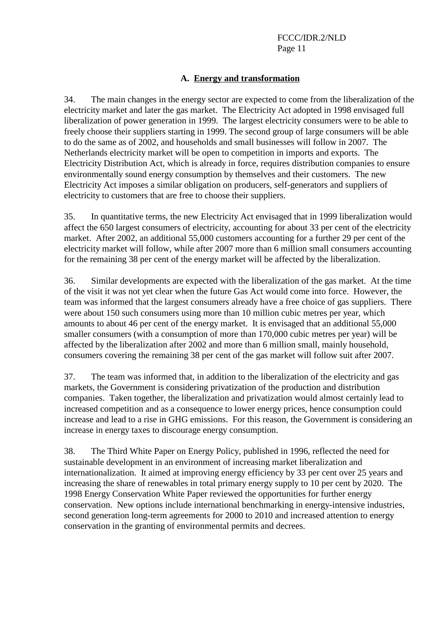### **A. Energy and transformation**

34. The main changes in the energy sector are expected to come from the liberalization of the electricity market and later the gas market. The Electricity Act adopted in 1998 envisaged full liberalization of power generation in 1999. The largest electricity consumers were to be able to freely choose their suppliers starting in 1999. The second group of large consumers will be able to do the same as of 2002, and households and small businesses will follow in 2007. The Netherlands electricity market will be open to competition in imports and exports. The Electricity Distribution Act, which is already in force, requires distribution companies to ensure environmentally sound energy consumption by themselves and their customers. The new Electricity Act imposes a similar obligation on producers, self-generators and suppliers of electricity to customers that are free to choose their suppliers.

35. In quantitative terms, the new Electricity Act envisaged that in 1999 liberalization would affect the 650 largest consumers of electricity, accounting for about 33 per cent of the electricity market. After 2002, an additional 55,000 customers accounting for a further 29 per cent of the electricity market will follow, while after 2007 more than 6 million small consumers accounting for the remaining 38 per cent of the energy market will be affected by the liberalization.

36. Similar developments are expected with the liberalization of the gas market. At the time of the visit it was not yet clear when the future Gas Act would come into force. However, the team was informed that the largest consumers already have a free choice of gas suppliers. There were about 150 such consumers using more than 10 million cubic metres per year, which amounts to about 46 per cent of the energy market. It is envisaged that an additional 55,000 smaller consumers (with a consumption of more than 170,000 cubic metres per year) will be affected by the liberalization after 2002 and more than 6 million small, mainly household, consumers covering the remaining 38 per cent of the gas market will follow suit after 2007.

37. The team was informed that, in addition to the liberalization of the electricity and gas markets, the Government is considering privatization of the production and distribution companies. Taken together, the liberalization and privatization would almost certainly lead to increased competition and as a consequence to lower energy prices, hence consumption could increase and lead to a rise in GHG emissions. For this reason, the Government is considering an increase in energy taxes to discourage energy consumption.

38. The Third White Paper on Energy Policy, published in 1996, reflected the need for sustainable development in an environment of increasing market liberalization and internationalization. It aimed at improving energy efficiency by 33 per cent over 25 years and increasing the share of renewables in total primary energy supply to 10 per cent by 2020. The 1998 Energy Conservation White Paper reviewed the opportunities for further energy conservation. New options include international benchmarking in energy-intensive industries, second generation long-term agreements for 2000 to 2010 and increased attention to energy conservation in the granting of environmental permits and decrees.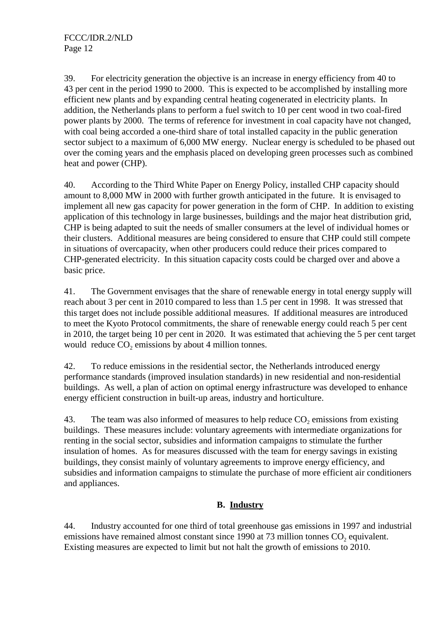39. For electricity generation the objective is an increase in energy efficiency from 40 to 43 per cent in the period 1990 to 2000. This is expected to be accomplished by installing more efficient new plants and by expanding central heating cogenerated in electricity plants. In addition, the Netherlands plans to perform a fuel switch to 10 per cent wood in two coal-fired power plants by 2000. The terms of reference for investment in coal capacity have not changed, with coal being accorded a one-third share of total installed capacity in the public generation sector subject to a maximum of 6,000 MW energy. Nuclear energy is scheduled to be phased out over the coming years and the emphasis placed on developing green processes such as combined heat and power (CHP).

40. According to the Third White Paper on Energy Policy, installed CHP capacity should amount to 8,000 MW in 2000 with further growth anticipated in the future. It is envisaged to implement all new gas capacity for power generation in the form of CHP. In addition to existing application of this technology in large businesses, buildings and the major heat distribution grid, CHP is being adapted to suit the needs of smaller consumers at the level of individual homes or their clusters. Additional measures are being considered to ensure that CHP could still compete in situations of overcapacity, when other producers could reduce their prices compared to CHP-generated electricity. In this situation capacity costs could be charged over and above a basic price.

41. The Government envisages that the share of renewable energy in total energy supply will reach about 3 per cent in 2010 compared to less than 1.5 per cent in 1998. It was stressed that this target does not include possible additional measures. If additional measures are introduced to meet the Kyoto Protocol commitments, the share of renewable energy could reach 5 per cent in 2010, the target being 10 per cent in 2020. It was estimated that achieving the 5 per cent target would reduce  $CO<sub>2</sub>$  emissions by about 4 million tonnes.

42. To reduce emissions in the residential sector, the Netherlands introduced energy performance standards (improved insulation standards) in new residential and non-residential buildings. As well, a plan of action on optimal energy infrastructure was developed to enhance energy efficient construction in built-up areas, industry and horticulture.

43. The team was also informed of measures to help reduce  $CO<sub>2</sub>$  emissions from existing buildings. These measures include: voluntary agreements with intermediate organizations for renting in the social sector, subsidies and information campaigns to stimulate the further insulation of homes. As for measures discussed with the team for energy savings in existing buildings, they consist mainly of voluntary agreements to improve energy efficiency, and subsidies and information campaigns to stimulate the purchase of more efficient air conditioners and appliances.

### **B. Industry**

44. Industry accounted for one third of total greenhouse gas emissions in 1997 and industrial emissions have remained almost constant since 1990 at 73 million tonnes  $CO<sub>2</sub>$  equivalent. Existing measures are expected to limit but not halt the growth of emissions to 2010.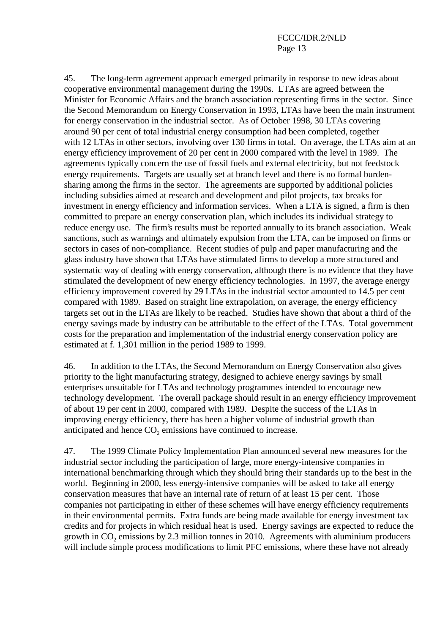45. The long-term agreement approach emerged primarily in response to new ideas about cooperative environmental management during the 1990s. LTAs are agreed between the Minister for Economic Affairs and the branch association representing firms in the sector. Since the Second Memorandum on Energy Conservation in 1993, LTAs have been the main instrument for energy conservation in the industrial sector. As of October 1998, 30 LTAs covering around 90 per cent of total industrial energy consumption had been completed, together with 12 LTAs in other sectors, involving over 130 firms in total. On average, the LTAs aim at an energy efficiency improvement of 20 per cent in 2000 compared with the level in 1989. The agreements typically concern the use of fossil fuels and external electricity, but not feedstock energy requirements. Targets are usually set at branch level and there is no formal burdensharing among the firms in the sector. The agreements are supported by additional policies including subsidies aimed at research and development and pilot projects, tax breaks for investment in energy efficiency and information services. When a LTA is signed, a firm is then committed to prepare an energy conservation plan, which includes its individual strategy to reduce energy use. The firm's results must be reported annually to its branch association. Weak sanctions, such as warnings and ultimately expulsion from the LTA, can be imposed on firms or sectors in cases of non-compliance. Recent studies of pulp and paper manufacturing and the glass industry have shown that LTAs have stimulated firms to develop a more structured and systematic way of dealing with energy conservation, although there is no evidence that they have stimulated the development of new energy efficiency technologies. In 1997, the average energy efficiency improvement covered by 29 LTAs in the industrial sector amounted to 14.5 per cent compared with 1989. Based on straight line extrapolation, on average, the energy efficiency targets set out in the LTAs are likely to be reached. Studies have shown that about a third of the energy savings made by industry can be attributable to the effect of the LTAs. Total government costs for the preparation and implementation of the industrial energy conservation policy are estimated at f. 1,301 million in the period 1989 to 1999.

46. In addition to the LTAs, the Second Memorandum on Energy Conservation also gives priority to the light manufacturing strategy, designed to achieve energy savings by small enterprises unsuitable for LTAs and technology programmes intended to encourage new technology development. The overall package should result in an energy efficiency improvement of about 19 per cent in 2000, compared with 1989. Despite the success of the LTAs in improving energy efficiency, there has been a higher volume of industrial growth than anticipated and hence  $CO<sub>2</sub>$  emissions have continued to increase.

47. The 1999 Climate Policy Implementation Plan announced several new measures for the industrial sector including the participation of large, more energy-intensive companies in international benchmarking through which they should bring their standards up to the best in the world. Beginning in 2000, less energy-intensive companies will be asked to take all energy conservation measures that have an internal rate of return of at least 15 per cent. Those companies not participating in either of these schemes will have energy efficiency requirements in their environmental permits. Extra funds are being made available for energy investment tax credits and for projects in which residual heat is used. Energy savings are expected to reduce the growth in  $CO<sub>2</sub>$  emissions by 2.3 million tonnes in 2010. Agreements with aluminium producers will include simple process modifications to limit PFC emissions, where these have not already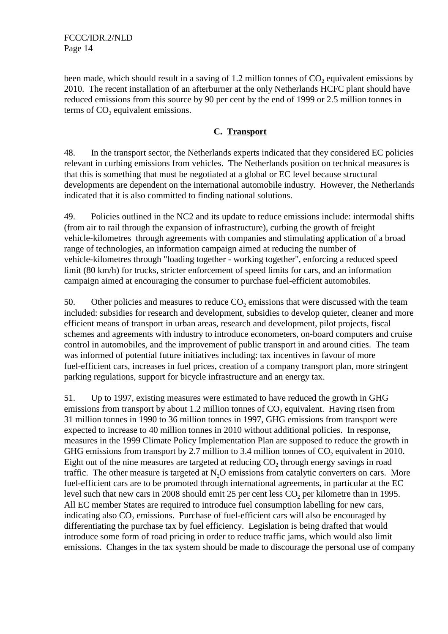FCCC/IDR.2/NLD Page 14

been made, which should result in a saving of  $1.2$  million tonnes of  $CO$ , equivalent emissions by 2010. The recent installation of an afterburner at the only Netherlands HCFC plant should have reduced emissions from this source by 90 per cent by the end of 1999 or 2.5 million tonnes in terms of  $CO<sub>2</sub>$  equivalent emissions.

#### **C. Transport**

48. In the transport sector, the Netherlands experts indicated that they considered EC policies relevant in curbing emissions from vehicles. The Netherlands position on technical measures is that this is something that must be negotiated at a global or EC level because structural developments are dependent on the international automobile industry. However, the Netherlands indicated that it is also committed to finding national solutions.

49. Policies outlined in the NC2 and its update to reduce emissions include: intermodal shifts (from air to rail through the expansion of infrastructure), curbing the growth of freight vehicle-kilometres through agreements with companies and stimulating application of a broad range of technologies, an information campaign aimed at reducing the number of vehicle-kilometres through "loading together - working together", enforcing a reduced speed limit (80 km/h) for trucks, stricter enforcement of speed limits for cars, and an information campaign aimed at encouraging the consumer to purchase fuel-efficient automobiles.

50. Other policies and measures to reduce  $CO<sub>2</sub>$  emissions that were discussed with the team included: subsidies for research and development, subsidies to develop quieter, cleaner and more efficient means of transport in urban areas, research and development, pilot projects, fiscal schemes and agreements with industry to introduce econometers, on-board computers and cruise control in automobiles, and the improvement of public transport in and around cities. The team was informed of potential future initiatives including: tax incentives in favour of more fuel-efficient cars, increases in fuel prices, creation of a company transport plan, more stringent parking regulations, support for bicycle infrastructure and an energy tax.

51. Up to 1997, existing measures were estimated to have reduced the growth in GHG emissions from transport by about 1.2 million tonnes of CO<sub>2</sub> equivalent. Having risen from 31 million tonnes in 1990 to 36 million tonnes in 1997, GHG emissions from transport were expected to increase to 40 million tonnes in 2010 without additional policies. In response, measures in the 1999 Climate Policy Implementation Plan are supposed to reduce the growth in GHG emissions from transport by 2.7 million to 3.4 million tonnes of  $CO<sub>2</sub>$  equivalent in 2010. Eight out of the nine measures are targeted at reducing  $CO<sub>2</sub>$  through energy savings in road traffic. The other measure is targeted at  $N<sub>2</sub>O$  emissions from catalytic converters on cars. More fuel-efficient cars are to be promoted through international agreements, in particular at the EC level such that new cars in 2008 should emit 25 per cent less CO<sub>2</sub> per kilometre than in 1995. All EC member States are required to introduce fuel consumption labelling for new cars, indicating also  $CO<sub>2</sub>$  emissions. Purchase of fuel-efficient cars will also be encouraged by differentiating the purchase tax by fuel efficiency. Legislation is being drafted that would introduce some form of road pricing in order to reduce traffic jams, which would also limit emissions. Changes in the tax system should be made to discourage the personal use of company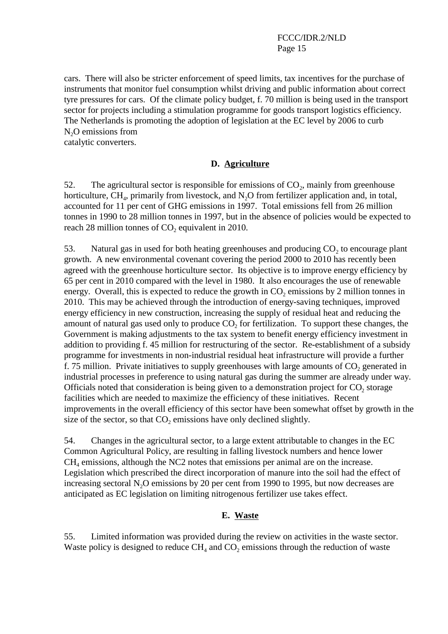FCCC/IDR.2/NLD Page 15

cars. There will also be stricter enforcement of speed limits, tax incentives for the purchase of instruments that monitor fuel consumption whilst driving and public information about correct tyre pressures for cars. Of the climate policy budget, f. 70 million is being used in the transport sector for projects including a stimulation programme for goods transport logistics efficiency. The Netherlands is promoting the adoption of legislation at the EC level by 2006 to curb N<sub>2</sub>O emissions from

catalytic converters.

#### **D. Agriculture**

52. The agricultural sector is responsible for emissions of  $CO<sub>2</sub>$ , mainly from greenhouse horticulture,  $CH<sub>4</sub>$ , primarily from livestock, and  $N<sub>2</sub>O$  from fertilizer application and, in total, accounted for 11 per cent of GHG emissions in 1997. Total emissions fell from 26 million tonnes in 1990 to 28 million tonnes in 1997, but in the absence of policies would be expected to reach  $28$  million tonnes of  $CO$ , equivalent in  $2010$ .

53. Natural gas in used for both heating greenhouses and producing  $CO<sub>2</sub>$  to encourage plant growth. A new environmental covenant covering the period 2000 to 2010 has recently been agreed with the greenhouse horticulture sector. Its objective is to improve energy efficiency by 65 per cent in 2010 compared with the level in 1980. It also encourages the use of renewable energy. Overall, this is expected to reduce the growth in  $CO<sub>2</sub>$  emissions by 2 million tonnes in 2010. This may be achieved through the introduction of energy-saving techniques, improved energy efficiency in new construction, increasing the supply of residual heat and reducing the amount of natural gas used only to produce  $CO<sub>2</sub>$  for fertilization. To support these changes, the Government is making adjustments to the tax system to benefit energy efficiency investment in addition to providing f. 45 million for restructuring of the sector. Re-establishment of a subsidy programme for investments in non-industrial residual heat infrastructure will provide a further f. 75 million. Private initiatives to supply greenhouses with large amounts of  $CO<sub>2</sub>$  generated in industrial processes in preference to using natural gas during the summer are already under way. Officials noted that consideration is being given to a demonstration project for  $CO<sub>2</sub>$  storage facilities which are needed to maximize the efficiency of these initiatives. Recent improvements in the overall efficiency of this sector have been somewhat offset by growth in the size of the sector, so that  $CO<sub>2</sub>$  emissions have only declined slightly.

54. Changes in the agricultural sector, to a large extent attributable to changes in the EC Common Agricultural Policy, are resulting in falling livestock numbers and hence lower  $CH<sub>4</sub>$  emissions, although the NC2 notes that emissions per animal are on the increase. Legislation which prescribed the direct incorporation of manure into the soil had the effect of increasing sectoral N<sub>2</sub>O emissions by 20 per cent from 1990 to 1995, but now decreases are anticipated as EC legislation on limiting nitrogenous fertilizer use takes effect.

#### **E. Waste**

55. Limited information was provided during the review on activities in the waste sector. Waste policy is designed to reduce  $CH<sub>4</sub>$  and  $CO<sub>2</sub>$  emissions through the reduction of waste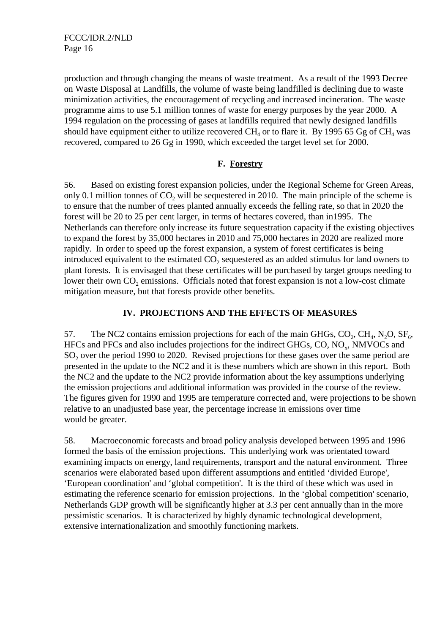production and through changing the means of waste treatment. As a result of the 1993 Decree on Waste Disposal at Landfills, the volume of waste being landfilled is declining due to waste minimization activities, the encouragement of recycling and increased incineration. The waste programme aims to use 5.1 million tonnes of waste for energy purposes by the year 2000. A 1994 regulation on the processing of gases at landfills required that newly designed landfills should have equipment either to utilize recovered  $CH_4$  or to flare it. By 1995 65 Gg of  $CH_4$  was recovered, compared to 26 Gg in 1990, which exceeded the target level set for 2000.

### **F. Forestry**

56. Based on existing forest expansion policies, under the Regional Scheme for Green Areas, only 0.1 million tonnes of  $CO<sub>2</sub>$  will be sequestered in 2010. The main principle of the scheme is to ensure that the number of trees planted annually exceeds the felling rate, so that in 2020 the forest will be 20 to 25 per cent larger, in terms of hectares covered, than in1995. The Netherlands can therefore only increase its future sequestration capacity if the existing objectives to expand the forest by 35,000 hectares in 2010 and 75,000 hectares in 2020 are realized more rapidly. In order to speed up the forest expansion, a system of forest certificates is being introduced equivalent to the estimated  $CO<sub>2</sub>$  sequestered as an added stimulus for land owners to plant forests. It is envisaged that these certificates will be purchased by target groups needing to lower their own  $CO_2$  emissions. Officials noted that forest expansion is not a low-cost climate mitigation measure, but that forests provide other benefits.

### **IV. PROJECTIONS AND THE EFFECTS OF MEASURES**

57. The NC2 contains emission projections for each of the main GHGs,  $CO_2$ ,  $CH_4$ , N<sub>2</sub>O,  $SF_6$ , HFCs and PFCs and also includes projections for the indirect GHGs,  $CO$ ,  $NO<sub>x</sub>$ , NMVOCs and SO<sub>2</sub> over the period 1990 to 2020. Revised projections for these gases over the same period are presented in the update to the NC2 and it is these numbers which are shown in this report. Both the NC2 and the update to the NC2 provide information about the key assumptions underlying the emission projections and additional information was provided in the course of the review. The figures given for 1990 and 1995 are temperature corrected and, were projections to be shown relative to an unadjusted base year, the percentage increase in emissions over time would be greater.

58. Macroeconomic forecasts and broad policy analysis developed between 1995 and 1996 formed the basis of the emission projections. This underlying work was orientated toward examining impacts on energy, land requirements, transport and the natural environment. Three scenarios were elaborated based upon different assumptions and entitled 'divided Europe', 'European coordination' and 'global competition'. It is the third of these which was used in estimating the reference scenario for emission projections. In the 'global competition' scenario, Netherlands GDP growth will be significantly higher at 3.3 per cent annually than in the more pessimistic scenarios. It is characterized by highly dynamic technological development, extensive internationalization and smoothly functioning markets.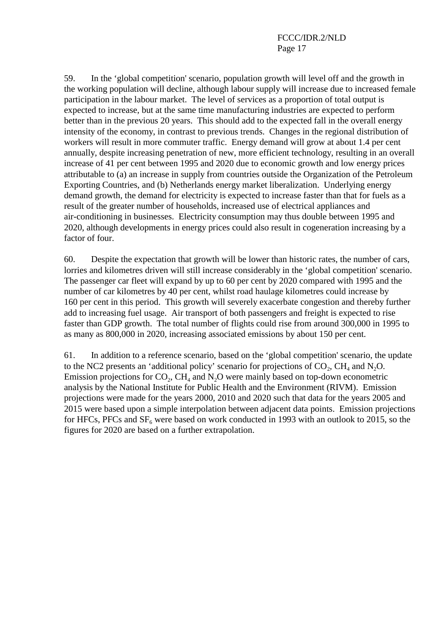59. In the 'global competition' scenario, population growth will level off and the growth in the working population will decline, although labour supply will increase due to increased female participation in the labour market. The level of services as a proportion of total output is expected to increase, but at the same time manufacturing industries are expected to perform better than in the previous 20 years. This should add to the expected fall in the overall energy intensity of the economy, in contrast to previous trends. Changes in the regional distribution of workers will result in more commuter traffic. Energy demand will grow at about 1.4 per cent annually, despite increasing penetration of new, more efficient technology, resulting in an overall increase of 41 per cent between 1995 and 2020 due to economic growth and low energy prices attributable to (a) an increase in supply from countries outside the Organization of the Petroleum Exporting Countries, and (b) Netherlands energy market liberalization. Underlying energy demand growth, the demand for electricity is expected to increase faster than that for fuels as a result of the greater number of households, increased use of electrical appliances and air-conditioning in businesses. Electricity consumption may thus double between 1995 and 2020, although developments in energy prices could also result in cogeneration increasing by a factor of four.

60. Despite the expectation that growth will be lower than historic rates, the number of cars, lorries and kilometres driven will still increase considerably in the 'global competition' scenario. The passenger car fleet will expand by up to 60 per cent by 2020 compared with 1995 and the number of car kilometres by 40 per cent, whilst road haulage kilometres could increase by 160 per cent in this period. This growth will severely exacerbate congestion and thereby further add to increasing fuel usage. Air transport of both passengers and freight is expected to rise faster than GDP growth. The total number of flights could rise from around 300,000 in 1995 to as many as 800,000 in 2020, increasing associated emissions by about 150 per cent.

61. In addition to a reference scenario, based on the 'global competition' scenario, the update to the NC2 presents an 'additional policy' scenario for projections of  $CO<sub>2</sub>$ , CH<sub>4</sub> and N<sub>2</sub>O. Emission projections for  $CO<sub>2</sub>$ , CH<sub>4</sub> and N<sub>2</sub>O were mainly based on top-down econometric analysis by the National Institute for Public Health and the Environment (RIVM). Emission projections were made for the years 2000, 2010 and 2020 such that data for the years 2005 and 2015 were based upon a simple interpolation between adjacent data points. Emission projections for HFCs, PFCs and  $SF_6$  were based on work conducted in 1993 with an outlook to 2015, so the figures for 2020 are based on a further extrapolation.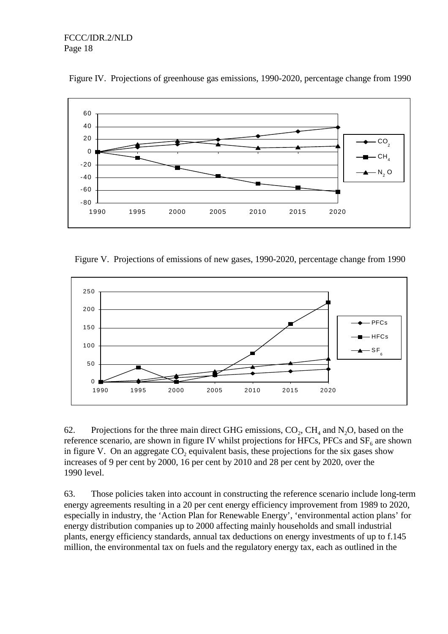

Figure IV. Projections of greenhouse gas emissions, 1990-2020, percentage change from 1990

Figure V. Projections of emissions of new gases, 1990-2020, percentage change from 1990



62. Projections for the three main direct GHG emissions,  $CO_2$ ,  $CH_4$  and N<sub>2</sub>O, based on the reference scenario, are shown in figure IV whilst projections for HFCs, PFCs and  $SF<sub>6</sub>$  are shown in figure V. On an aggregate  $CO<sub>2</sub>$  equivalent basis, these projections for the six gases show increases of 9 per cent by 2000, 16 per cent by 2010 and 28 per cent by 2020, over the 1990 level.

63. Those policies taken into account in constructing the reference scenario include long-term energy agreements resulting in a 20 per cent energy efficiency improvement from 1989 to 2020, especially in industry, the 'Action Plan for Renewable Energy', 'environmental action plans' for energy distribution companies up to 2000 affecting mainly households and small industrial plants, energy efficiency standards, annual tax deductions on energy investments of up to f.145 million, the environmental tax on fuels and the regulatory energy tax, each as outlined in the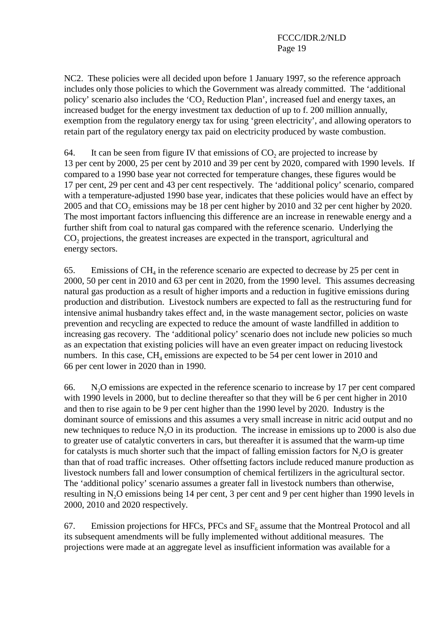NC2. These policies were all decided upon before 1 January 1997, so the reference approach includes only those policies to which the Government was already committed. The 'additional policy' scenario also includes the 'CO<sub>2</sub> Reduction Plan', increased fuel and energy taxes, an increased budget for the energy investment tax deduction of up to f. 200 million annually, exemption from the regulatory energy tax for using 'green electricity', and allowing operators to retain part of the regulatory energy tax paid on electricity produced by waste combustion.

64. It can be seen from figure IV that emissions of  $CO<sub>2</sub>$  are projected to increase by 13 per cent by 2000, 25 per cent by 2010 and 39 per cent by 2020, compared with 1990 levels. If compared to a 1990 base year not corrected for temperature changes, these figures would be 17 per cent, 29 per cent and 43 per cent respectively. The 'additional policy' scenario, compared with a temperature-adjusted 1990 base year, indicates that these policies would have an effect by 2005 and that CO<sub>2</sub> emissions may be 18 per cent higher by 2010 and 32 per cent higher by 2020. The most important factors influencing this difference are an increase in renewable energy and a further shift from coal to natural gas compared with the reference scenario. Underlying the  $CO<sub>2</sub>$  projections, the greatest increases are expected in the transport, agricultural and energy sectors.

65. Emissions of  $CH<sub>4</sub>$  in the reference scenario are expected to decrease by 25 per cent in 2000, 50 per cent in 2010 and 63 per cent in 2020, from the 1990 level. This assumes decreasing natural gas production as a result of higher imports and a reduction in fugitive emissions during production and distribution. Livestock numbers are expected to fall as the restructuring fund for intensive animal husbandry takes effect and, in the waste management sector, policies on waste prevention and recycling are expected to reduce the amount of waste landfilled in addition to increasing gas recovery. The 'additional policy' scenario does not include new policies so much as an expectation that existing policies will have an even greater impact on reducing livestock numbers. In this case,  $CH<sub>4</sub>$  emissions are expected to be 54 per cent lower in 2010 and 66 per cent lower in 2020 than in 1990.

66. N2O emissions are expected in the reference scenario to increase by 17 per cent compared with 1990 levels in 2000, but to decline thereafter so that they will be 6 per cent higher in 2010 and then to rise again to be 9 per cent higher than the 1990 level by 2020. Industry is the dominant source of emissions and this assumes a very small increase in nitric acid output and no new techniques to reduce  $N_2O$  in its production. The increase in emissions up to 2000 is also due to greater use of catalytic converters in cars, but thereafter it is assumed that the warm-up time for catalysts is much shorter such that the impact of falling emission factors for  $N_2O$  is greater than that of road traffic increases. Other offsetting factors include reduced manure production as livestock numbers fall and lower consumption of chemical fertilizers in the agricultural sector. The 'additional policy' scenario assumes a greater fall in livestock numbers than otherwise, resulting in N<sub>2</sub>O emissions being 14 per cent, 3 per cent and 9 per cent higher than 1990 levels in 2000, 2010 and 2020 respectively.

67. Emission projections for HFCs, PFCs and  $SF<sub>6</sub>$  assume that the Montreal Protocol and all its subsequent amendments will be fully implemented without additional measures. The projections were made at an aggregate level as insufficient information was available for a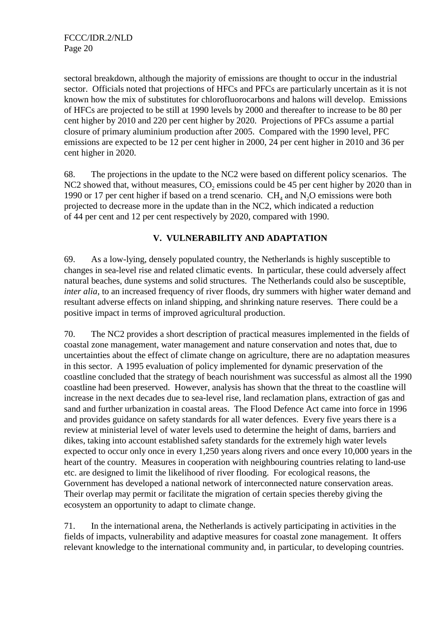sectoral breakdown, although the majority of emissions are thought to occur in the industrial sector. Officials noted that projections of HFCs and PFCs are particularly uncertain as it is not known how the mix of substitutes for chlorofluorocarbons and halons will develop. Emissions of HFCs are projected to be still at 1990 levels by 2000 and thereafter to increase to be 80 per cent higher by 2010 and 220 per cent higher by 2020. Projections of PFCs assume a partial closure of primary aluminium production after 2005. Compared with the 1990 level, PFC emissions are expected to be 12 per cent higher in 2000, 24 per cent higher in 2010 and 36 per cent higher in 2020.

68. The projections in the update to the NC2 were based on different policy scenarios. The NC2 showed that, without measures,  $CO<sub>2</sub>$  emissions could be 45 per cent higher by 2020 than in 1990 or 17 per cent higher if based on a trend scenario.  $CH<sub>4</sub>$  and  $N<sub>2</sub>O$  emissions were both projected to decrease more in the update than in the NC2, which indicated a reduction of 44 per cent and 12 per cent respectively by 2020, compared with 1990.

### **V. VULNERABILITY AND ADAPTATION**

69. As a low-lying, densely populated country, the Netherlands is highly susceptible to changes in sea-level rise and related climatic events. In particular, these could adversely affect natural beaches, dune systems and solid structures. The Netherlands could also be susceptible, *inter alia*, to an increased frequency of river floods, dry summers with higher water demand and resultant adverse effects on inland shipping, and shrinking nature reserves. There could be a positive impact in terms of improved agricultural production.

70. The NC2 provides a short description of practical measures implemented in the fields of coastal zone management, water management and nature conservation and notes that, due to uncertainties about the effect of climate change on agriculture, there are no adaptation measures in this sector. A 1995 evaluation of policy implemented for dynamic preservation of the coastline concluded that the strategy of beach nourishment was successful as almost all the 1990 coastline had been preserved. However, analysis has shown that the threat to the coastline will increase in the next decades due to sea-level rise, land reclamation plans, extraction of gas and sand and further urbanization in coastal areas. The Flood Defence Act came into force in 1996 and provides guidance on safety standards for all water defences. Every five years there is a review at ministerial level of water levels used to determine the height of dams, barriers and dikes, taking into account established safety standards for the extremely high water levels expected to occur only once in every 1,250 years along rivers and once every 10,000 years in the heart of the country. Measures in cooperation with neighbouring countries relating to land-use etc. are designed to limit the likelihood of river flooding. For ecological reasons, the Government has developed a national network of interconnected nature conservation areas. Their overlap may permit or facilitate the migration of certain species thereby giving the ecosystem an opportunity to adapt to climate change.

71. In the international arena, the Netherlands is actively participating in activities in the fields of impacts, vulnerability and adaptive measures for coastal zone management. It offers relevant knowledge to the international community and, in particular, to developing countries.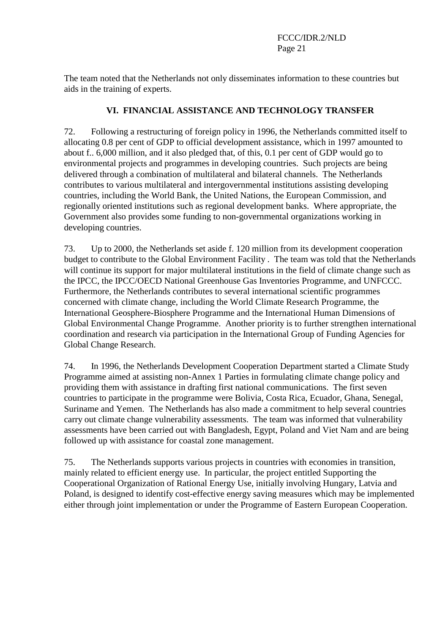The team noted that the Netherlands not only disseminates information to these countries but aids in the training of experts.

#### **VI. FINANCIAL ASSISTANCE AND TECHNOLOGY TRANSFER**

72. Following a restructuring of foreign policy in 1996, the Netherlands committed itself to allocating 0.8 per cent of GDP to official development assistance, which in 1997 amounted to about f.. 6,000 million, and it also pledged that, of this, 0.1 per cent of GDP would go to environmental projects and programmes in developing countries. Such projects are being delivered through a combination of multilateral and bilateral channels. The Netherlands contributes to various multilateral and intergovernmental institutions assisting developing countries, including the World Bank, the United Nations, the European Commission, and regionally oriented institutions such as regional development banks. Where appropriate, the Government also provides some funding to non-governmental organizations working in developing countries.

73. Up to 2000, the Netherlands set aside f. 120 million from its development cooperation budget to contribute to the Global Environment Facility . The team was told that the Netherlands will continue its support for major multilateral institutions in the field of climate change such as the IPCC, the IPCC/OECD National Greenhouse Gas Inventories Programme, and UNFCCC. Furthermore, the Netherlands contributes to several international scientific programmes concerned with climate change, including the World Climate Research Programme, the International Geosphere-Biosphere Programme and the International Human Dimensions of Global Environmental Change Programme. Another priority is to further strengthen international coordination and research via participation in the International Group of Funding Agencies for Global Change Research.

74. In 1996, the Netherlands Development Cooperation Department started a Climate Study Programme aimed at assisting non-Annex 1 Parties in formulating climate change policy and providing them with assistance in drafting first national communications. The first seven countries to participate in the programme were Bolivia, Costa Rica, Ecuador, Ghana, Senegal, Suriname and Yemen. The Netherlands has also made a commitment to help several countries carry out climate change vulnerability assessments. The team was informed that vulnerability assessments have been carried out with Bangladesh, Egypt, Poland and Viet Nam and are being followed up with assistance for coastal zone management.

75. The Netherlands supports various projects in countries with economies in transition, mainly related to efficient energy use. In particular, the project entitled Supporting the Cooperational Organization of Rational Energy Use, initially involving Hungary, Latvia and Poland, is designed to identify cost-effective energy saving measures which may be implemented either through joint implementation or under the Programme of Eastern European Cooperation.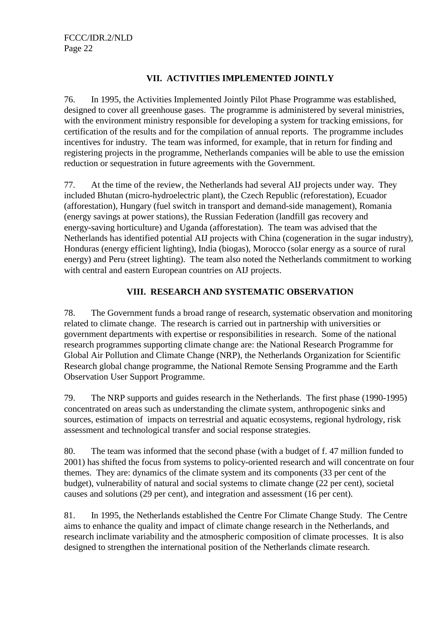### **VII. ACTIVITIES IMPLEMENTED JOINTLY**

76. In 1995, the Activities Implemented Jointly Pilot Phase Programme was established, designed to cover all greenhouse gases. The programme is administered by several ministries, with the environment ministry responsible for developing a system for tracking emissions, for certification of the results and for the compilation of annual reports. The programme includes incentives for industry. The team was informed, for example, that in return for finding and registering projects in the programme, Netherlands companies will be able to use the emission reduction or sequestration in future agreements with the Government.

77. At the time of the review, the Netherlands had several AIJ projects under way. They included Bhutan (micro-hydroelectric plant), the Czech Republic (reforestation), Ecuador (afforestation), Hungary (fuel switch in transport and demand-side management), Romania (energy savings at power stations), the Russian Federation (landfill gas recovery and energy-saving horticulture) and Uganda (afforestation). The team was advised that the Netherlands has identified potential AIJ projects with China (cogeneration in the sugar industry), Honduras (energy efficient lighting), India (biogas), Morocco (solar energy as a source of rural energy) and Peru (street lighting). The team also noted the Netherlands commitment to working with central and eastern European countries on AIJ projects.

### **VIII. RESEARCH AND SYSTEMATIC OBSERVATION**

78. The Government funds a broad range of research, systematic observation and monitoring related to climate change. The research is carried out in partnership with universities or government departments with expertise or responsibilities in research. Some of the national research programmes supporting climate change are: the National Research Programme for Global Air Pollution and Climate Change (NRP), the Netherlands Organization for Scientific Research global change programme, the National Remote Sensing Programme and the Earth Observation User Support Programme.

79. The NRP supports and guides research in the Netherlands. The first phase (1990-1995) concentrated on areas such as understanding the climate system, anthropogenic sinks and sources, estimation of impacts on terrestrial and aquatic ecosystems, regional hydrology, risk assessment and technological transfer and social response strategies.

80. The team was informed that the second phase (with a budget of f. 47 million funded to 2001) has shifted the focus from systems to policy-oriented research and will concentrate on four themes. They are: dynamics of the climate system and its components (33 per cent of the budget), vulnerability of natural and social systems to climate change (22 per cent), societal causes and solutions (29 per cent), and integration and assessment (16 per cent).

81. In 1995, the Netherlands established the Centre For Climate Change Study. The Centre aims to enhance the quality and impact of climate change research in the Netherlands, and research inclimate variability and the atmospheric composition of climate processes. It is also designed to strengthen the international position of the Netherlands climate research.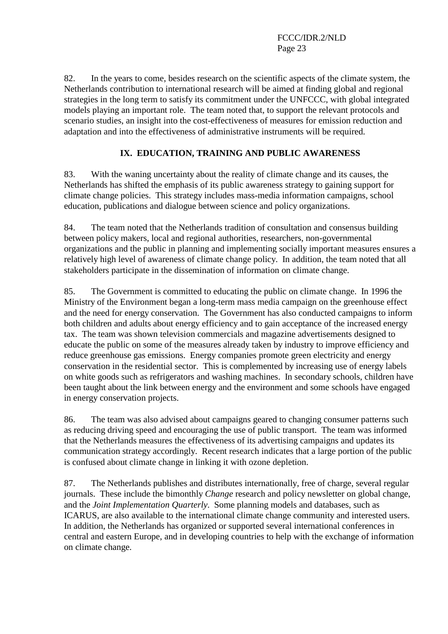82. In the years to come, besides research on the scientific aspects of the climate system, the Netherlands contribution to international research will be aimed at finding global and regional strategies in the long term to satisfy its commitment under the UNFCCC, with global integrated models playing an important role. The team noted that, to support the relevant protocols and scenario studies, an insight into the cost-effectiveness of measures for emission reduction and adaptation and into the effectiveness of administrative instruments will be required.

## **IX. EDUCATION, TRAINING AND PUBLIC AWARENESS**

83. With the waning uncertainty about the reality of climate change and its causes, the Netherlands has shifted the emphasis of its public awareness strategy to gaining support for climate change policies. This strategy includes mass-media information campaigns, school education, publications and dialogue between science and policy organizations.

84. The team noted that the Netherlands tradition of consultation and consensus building between policy makers, local and regional authorities, researchers, non-governmental organizations and the public in planning and implementing socially important measures ensures a relatively high level of awareness of climate change policy. In addition, the team noted that all stakeholders participate in the dissemination of information on climate change.

85. The Government is committed to educating the public on climate change. In 1996 the Ministry of the Environment began a long-term mass media campaign on the greenhouse effect and the need for energy conservation. The Government has also conducted campaigns to inform both children and adults about energy efficiency and to gain acceptance of the increased energy tax. The team was shown television commercials and magazine advertisements designed to educate the public on some of the measures already taken by industry to improve efficiency and reduce greenhouse gas emissions. Energy companies promote green electricity and energy conservation in the residential sector. This is complemented by increasing use of energy labels on white goods such as refrigerators and washing machines. In secondary schools, children have been taught about the link between energy and the environment and some schools have engaged in energy conservation projects.

86. The team was also advised about campaigns geared to changing consumer patterns such as reducing driving speed and encouraging the use of public transport. The team was informed that the Netherlands measures the effectiveness of its advertising campaigns and updates its communication strategy accordingly. Recent research indicates that a large portion of the public is confused about climate change in linking it with ozone depletion.

87. The Netherlands publishes and distributes internationally, free of charge, several regular journals. These include the bimonthly *Change* research and policy newsletter on global change, and the *Joint Implementation Quarterly*. Some planning models and databases, such as ICARUS, are also available to the international climate change community and interested users. In addition, the Netherlands has organized or supported several international conferences in central and eastern Europe, and in developing countries to help with the exchange of information on climate change.